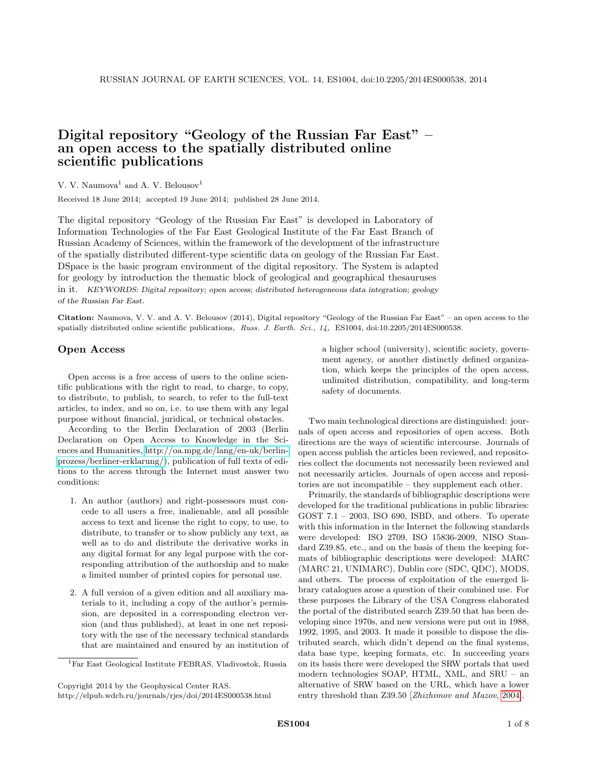# Digital repository "Geology of the Russian Far East" – an open access to the spatially distributed online scientific publications

## V. V. Naumova<sup>1</sup> and A. V. Belousov<sup>1</sup>

Received 18 June 2014; accepted 19 June 2014; published 28 June 2014.

The digital repository "Geology of the Russian Far East" is developed in Laboratory of Information Technologies of the Far East Geological Institute of the Far East Branch of Russian Academy of Sciences, within the framework of the development of the infrastructure of the spatially distributed different-type scientific data on geology of the Russian Far East. DSpace is the basic program environment of the digital repository. The System is adapted for geology by introduction the thematic block of geological and geographical thesauruses in it. KEYWORDS: Digital repository; open access; distributed heterogeneous data integration; geology of the Russian Far East.

Citation: Naumova, V. V. and A. V. Belousov (2014), Digital repository "Geology of the Russian Far East" – an open access to the spatially distributed online scientific publications, Russ. J. Earth. Sci., 14, ES1004, doi:10.2205/2014ES000538.

#### Open Access

Open access is a free access of users to the online scientific publications with the right to read, to charge, to copy, to distribute, to publish, to search, to refer to the full-text articles, to index, and so on, i.e. to use them with any legal purpose without financial, juridical, or technical obstacles.

According to the Berlin Declaration of 2003 (Berlin Declaration on Open Access to Knowledge in the Sciences and Humanities, [http://oa.mpg.de/lang/en-uk/berlin](http://oa.mpg.de/lang/en-uk/berlin-prozess/berliner-erklarung/)[prozess/berliner-erklarung/\)](http://oa.mpg.de/lang/en-uk/berlin-prozess/berliner-erklarung/), publication of full texts of editions to the access through the Internet must answer two conditions:

- 1. An author (authors) and right-possessors must concede to all users a free, inalienable, and all possible access to text and license the right to copy, to use, to distribute, to transfer or to show publicly any text, as well as to do and distribute the derivative works in any digital format for any legal purpose with the corresponding attribution of the authorship and to make a limited number of printed copies for personal use.
- 2. A full version of a given edition and all auxiliary materials to it, including a copy of the author's permission, are deposited in a corresponding electron version (and thus published), at least in one net repository with the use of the necessary technical standards that are maintained and ensured by an institution of

Copyright 2014 by the Geophysical Center RAS.

http://elpub.wdcb.ru/journals/rjes/doi/2014ES000538.html

a higher school (university), scientific society, government agency, or another distinctly defined organization, which keeps the principles of the open access, unlimited distribution, compatibility, and long-term safety of documents.

Two main technological directions are distinguished: journals of open access and repositories of open access. Both directions are the ways of scientific intercourse. Journals of open access publish the articles been reviewed, and repositories collect the documents not necessarily been reviewed and not necessarily articles. Journals of open access and repositories are not incompatible – they supplement each other.

Primarily, the standards of bibliographic descriptions were developed for the traditional publications in public libraries: GOST 7.1 – 2003, ISO 690, ISBD, and others. To operate with this information in the Internet the following standards were developed: ISO 2709, ISO 15836-2009, NISO Standard Z39.85, etc., and on the basis of them the keeping formats of bibliographic descriptions were developed: MARC (MARC 21, UNIMARC), Dublin core (SDC, QDC), MODS, and others. The process of exploitation of the emerged library catalogues arose a question of their combined use. For these purposes the Library of the USA Congress elaborated the portal of the distributed search Z39.50 that has been developing since 1970s, and new versions were put out in 1988, 1992, 1995, and 2003. It made it possible to dispose the distributed search, which didn't depend on the final systems, data base type, keeping formats, etc. In succeeding years on its basis there were developed the SRW portals that used modern technologies SOAP, HTML, XML, and SRU – an alternative of SRW based on the URL, which have a lower entry threshold than Z39.50 [Zhizhimov and Mazov, [2004\]](#page-7-0).

<sup>1</sup>Far East Geological Institute FEBRAS, Vladivostok, Russia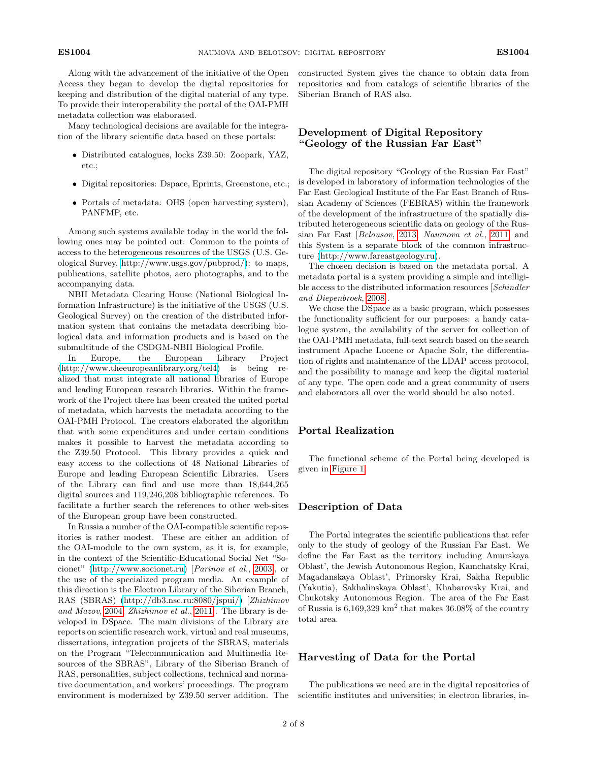Along with the advancement of the initiative of the Open Access they began to develop the digital repositories for keeping and distribution of the digital material of any type. To provide their interoperability the portal of the OAI-PMH metadata collection was elaborated.

Many technological decisions are available for the integration of the library scientific data based on these portals:

- ∙ Distributed catalogues, locks Z39.50: Zoopark, YAZ, etc.;
- ∙ Digital repositories: Dspace, Eprints, Greenstone, etc.;
- ∙ Portals of metadata: OHS (open harvesting system), PANFMP, etc.

Among such systems available today in the world the following ones may be pointed out: Common to the points of access to the heterogeneous resources of the USGS (U.S. Geological Survey, [http://www.usgs.gov/pubprod/\)](http://www.usgs.gov/pubprod/): to maps, publications, satellite photos, aero photographs, and to the accompanying data.

NBII Metadata Clearing House (National Biological Information Infrastructure) is the initiative of the USGS (U.S. Geological Survey) on the creation of the distributed information system that contains the metadata describing biological data and information products and is based on the submultitude of the CSDGM-NBII Biological Profile.

In Europe, the European Library Project [\(http://www.theeuropeanlibrary.org/tel4\)](http://www.theeuropeanlibrary.org/tel4) is being realized that must integrate all national libraries of Europe and leading European research libraries. Within the framework of the Project there has been created the united portal of metadata, which harvests the metadata according to the OAI-PMH Protocol. The creators elaborated the algorithm that with some expenditures and under certain conditions makes it possible to harvest the metadata according to the Z39.50 Protocol. This library provides a quick and easy access to the collections of 48 National Libraries of Europe and leading European Scientific Libraries. Users of the Library can find and use more than 18,644,265 digital sources and 119,246,208 bibliographic references. To facilitate a further search the references to other web-sites of the European group have been constructed.

In Russia a number of the OAI-compatible scientific repositories is rather modest. These are either an addition of the OAI-module to the own system, as it is, for example, in the context of the Scientific-Educational Social Net "Socionet" [\(http://www.socionet.ru\)](http://www.socionet.ru) [Parinov et al., [2003\]](#page-7-1), or the use of the specialized program media. An example of this direction is the Electron Library of the Siberian Branch, RAS (SBRAS) [\(http://db3.nsc.ru:8080/jspui/\)](http://db3.nsc.ru:8080/jspui/) [Zhizhimov and Mazov, [2004;](#page-7-0) Zhizhimov et al., [2011\]](#page-7-2). The library is developed in DSpace. The main divisions of the Library are reports on scientific research work, virtual and real museums, dissertations, integration projects of the SBRAS, materials on the Program "Telecommunication and Multimedia Resources of the SBRAS", Library of the Siberian Branch of RAS, personalities, subject collections, technical and normative documentation, and workers' proceedings. The program environment is modernized by Z39.50 server addition. The

constructed System gives the chance to obtain data from repositories and from catalogs of scientific libraries of the Siberian Branch of RAS also.

# Development of Digital Repository "Geology of the Russian Far East"

The digital repository "Geology of the Russian Far East" is developed in laboratory of information technologies of the Far East Geological Institute of the Far East Branch of Russian Academy of Sciences (FEBRAS) within the framework of the development of the infrastructure of the spatially distributed heterogeneous scientific data on geology of the Russian Far East [Belousov, [2013;](#page-7-3) Naumova et al., [2011\]](#page-7-4) and this System is a separate block of the common infrastructure [\(http://www.fareastgeology.ru\)](http://www.fareastgeology.ru).

The chosen decision is based on the metadata portal. A metadata portal is a system providing a simple and intelligible access to the distributed information resources [Schindler and Diepenbroek, [2008\]](#page-7-5).

We chose the DSpace as a basic program, which possesses the functionality sufficient for our purposes: a handy catalogue system, the availability of the server for collection of the OAI-PMH metadata, full-text search based on the search instrument Apache Lucene or Apache Solr, the differentiation of rights and maintenance of the LDAP access protocol, and the possibility to manage and keep the digital material of any type. The open code and a great community of users and elaborators all over the world should be also noted.

### Portal Realization

The functional scheme of the Portal being developed is given in [Figure 1.](#page-2-0)

## Description of Data

The Portal integrates the scientific publications that refer only to the study of geology of the Russian Far East. We define the Far East as the territory including Amurskaya Oblast', the Jewish Autonomous Region, Kamchatsky Krai, Magadanskaya Oblast', Primorsky Krai, Sakha Republic (Yakutia), Sakhalinskaya Oblast', Khabarovsky Krai, and Chukotsky Autonomous Region. The area of the Far East of Russia is  $6,169,329$  km<sup>2</sup> that makes  $36.08\%$  of the country total area.

#### Harvesting of Data for the Portal

The publications we need are in the digital repositories of scientific institutes and universities; in electron libraries, in-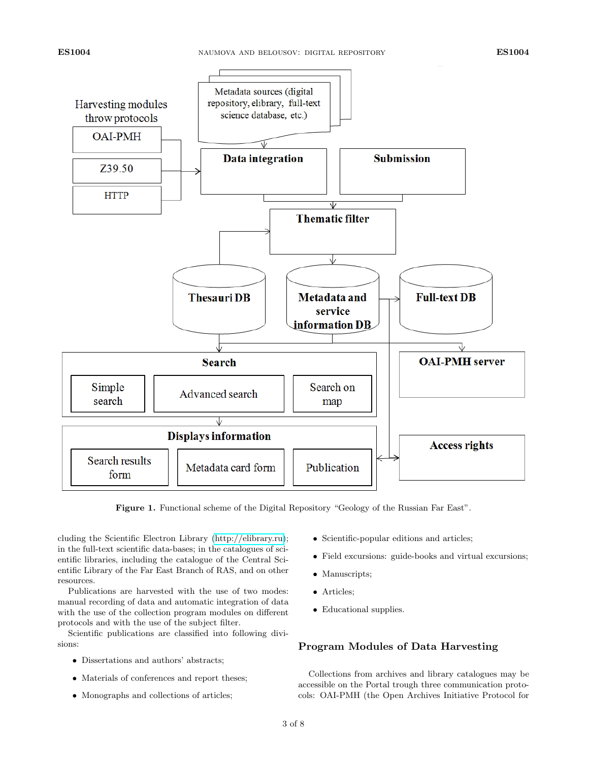<span id="page-2-0"></span>

Figure 1. Functional scheme of the Digital Repository "Geology of the Russian Far East".

cluding the Scientific Electron Library [\(http://elibrary.ru\)](http://elibrary.ru); in the full-text scientific data-bases; in the catalogues of scientific libraries, including the catalogue of the Central Scientific Library of the Far East Branch of RAS, and on other resources.

Publications are harvested with the use of two modes: manual recording of data and automatic integration of data with the use of the collection program modules on different protocols and with the use of the subject filter.

Scientific publications are classified into following divisions:

- ∙ Dissertations and authors' abstracts;
- ∙ Materials of conferences and report theses;
- ∙ Monographs and collections of articles;
- ∙ Scientific-popular editions and articles;
- ∙ Field excursions: guide-books and virtual excursions;
- ∙ Manuscripts;
- ∙ Articles;
- ∙ Educational supplies.

# Program Modules of Data Harvesting

Collections from archives and library catalogues may be accessible on the Portal trough three communication protocols: OAI-PMH (the Open Archives Initiative Protocol for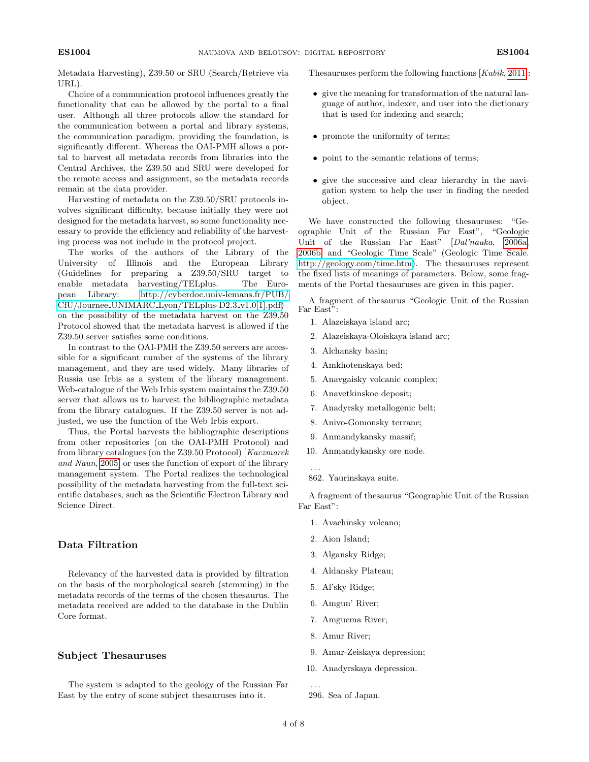Metadata Harvesting), Z39.50 or SRU (Search/Retrieve via URL).

Choice of a communication protocol influences greatly the functionality that can be allowed by the portal to a final user. Although all three protocols allow the standard for the communication between a portal and library systems, the communication paradigm, providing the foundation, is significantly different. Whereas the OAI-PMH allows a portal to harvest all metadata records from libraries into the Central Archives, the Z39.50 and SRU were developed for the remote access and assignment, so the metadata records remain at the data provider.

Harvesting of metadata on the Z39.50/SRU protocols involves significant difficulty, because initially they were not designed for the metadata harvest, so some functionality necessary to provide the efficiency and reliability of the harvesting process was not include in the protocol project.

The works of the authors of the Library of the University of Illinois and the European Library (Guidelines for preparing a Z39.50/SRU target to enable metadata harvesting/TELplus. The European Library: [http://cyberdoc.univ-lemans.fr/PUB/](http://cyberdoc.univ-lemans.fr/PUB/CfU/Journee_UNIMARC_Lyon/TELplus-D2.3_v1.0[1].pdf) CfU/Journee UNIMARC [Lyon/TELplus-D2.3](http://cyberdoc.univ-lemans.fr/PUB/CfU/Journee_UNIMARC_Lyon/TELplus-D2.3_v1.0[1].pdf) v1.0[1].pdf) on the possibility of the metadata harvest on the Z39.50 Protocol showed that the metadata harvest is allowed if the Z39.50 server satisfies some conditions.

In contrast to the OAI-PMH the Z39.50 servers are accessible for a significant number of the systems of the library management, and they are used widely. Many libraries of Russia use Irbis as a system of the library management. Web-catalogue of the Web Irbis system maintains the Z39.50 server that allows us to harvest the bibliographic metadata from the library catalogues. If the Z39.50 server is not adjusted, we use the function of the Web Irbis export.

Thus, the Portal harvests the bibliographic descriptions from other repositories (on the OAI-PMH Protocol) and from library catalogues (on the Z39.50 Protocol) [Kaczmarek and Naun, [2005\]](#page-7-6) or uses the function of export of the library management system. The Portal realizes the technological possibility of the metadata harvesting from the full-text scientific databases, such as the Scientific Electron Library and Science Direct.

# Data Filtration

Relevancy of the harvested data is provided by filtration on the basis of the morphological search (stemming) in the metadata records of the terms of the chosen thesaurus. The metadata received are added to the database in the Dublin Core format.

### Subject Thesauruses

The system is adapted to the geology of the Russian Far East by the entry of some subject thesauruses into it.

Thesauruses perform the following functions [Kubik, [2011\]](#page-7-7):

- ∙ give the meaning for transformation of the natural language of author, indexer, and user into the dictionary that is used for indexing and search;
- ∙ promote the uniformity of terms;
- ∙ point to the semantic relations of terms;
- ∙ give the successive and clear hierarchy in the navigation system to help the user in finding the needed object.

We have constructed the following thesauruses: "Geographic Unit of the Russian Far East", "Geologic Unit of the Russian Far East" [Dal'nauka, [2006a,](#page-7-8) [2006b\]](#page-7-9) and "Geologic Time Scale" (Geologic Time Scale. [http://geology.com/time.htm\)](http://geology.com/time.htm). The thesauruses represent the fixed lists of meanings of parameters. Below, some fragments of the Portal thesauruses are given in this paper.

A fragment of thesaurus "Geologic Unit of the Russian Far East":

- 1. Alazeiskaya island arc;
- 2. Alazeiskaya-Oloiskaya island arc;
- 3. Alchansky basin;
- 4. Amkhotenskaya bed;
- 5. Anavgaisky volcanic complex;
- 6. Anavetkinskoe deposit;
- 7. Anadyrsky metallogenic belt;
- 8. Anivo-Gomonsky terrane;
- 9. Anmandykansky massif;
- 10. Anmandykansky ore node.
- 862. Yaurinskaya suite.

. . .

A fragment of thesaurus "Geographic Unit of the Russian Far East":

- 1. Avachinsky volcano;
- 2. Aion Island;
- 3. Algansky Ridge;
- 4. Aldansky Plateau;
- 5. Al'sky Ridge;
- 6. Amgun' River;
- 7. Amguema River;
- 8. Amur River;
- 9. Amur-Zeiskaya depression;
- 10. Anadyrskaya depression.

<sup>. . .</sup> 296. Sea of Japan.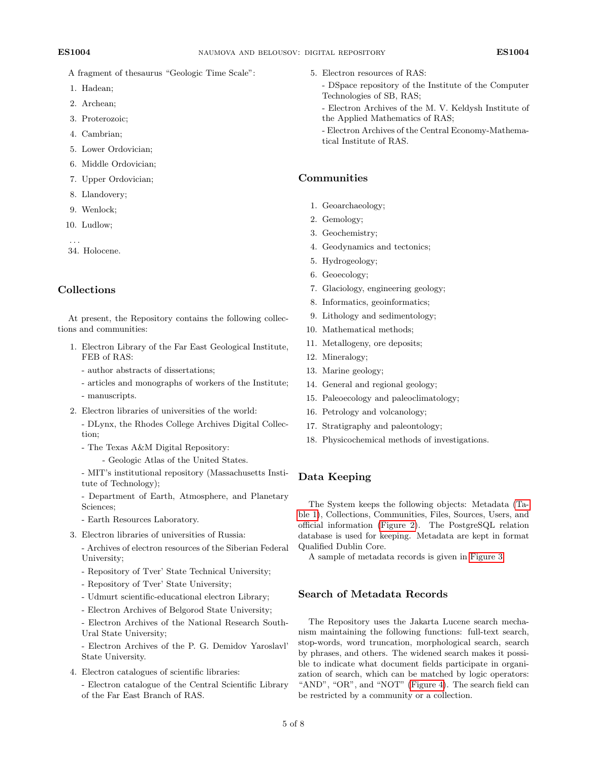A fragment of thesaurus "Geologic Time Scale":

- 1. Hadean;
- 2. Archean;
- 3. Proterozoic;
- 4. Cambrian;
- 5. Lower Ordovician;
- 6. Middle Ordovician;
- 7. Upper Ordovician;
- 8. Llandovery;
- 9. Wenlock;
- 10. Ludlow;

. . . 34. Holocene.

# Collections

At present, the Repository contains the following collections and communities:

- 1. Electron Library of the Far East Geological Institute, FEB of RAS:
	- author abstracts of dissertations;
	- articles and monographs of workers of the Institute; - manuscripts.
- 2. Electron libraries of universities of the world:
	- DLynx, the Rhodes College Archives Digital Collection;
	- The Texas A&M Digital Repository:
		- Geologic Atlas of the United States.

- MIT's institutional repository (Massachusetts Institute of Technology);

- Department of Earth, Atmosphere, and Planetary Sciences;
- Earth Resources Laboratory.
- 3. Electron libraries of universities of Russia:

- Archives of electron resources of the Siberian Federal University;

- Repository of Tver' State Technical University;
- Repository of Tver' State University;
- Udmurt scientific-educational electron Library;
- Electron Archives of Belgorod State University;

- Electron Archives of the National Research South-Ural State University;

- Electron Archives of the P. G. Demidov Yaroslavl' State University.

- 4. Electron catalogues of scientific libraries:
	- Electron catalogue of the Central Scientific Library of the Far East Branch of RAS.
- 5. Electron resources of RAS:
	- DSpace repository of the Institute of the Computer Technologies of SB, RAS;
	- Electron Archives of the M. V. Keldysh Institute of the Applied Mathematics of RAS;
	- Electron Archives of the Central Economy-Mathematical Institute of RAS.

## Communities

- 1. Geoarchaeology;
- 2. Gemology;
- 3. Geochemistry;
- 4. Geodynamics and tectonics;
- 5. Hydrogeology;
- 6. Geoecology;
- 7. Glaciology, engineering geology;
- 8. Informatics, geoinformatics;
- 9. Lithology and sedimentology;
- 10. Mathematical methods;
- 11. Metallogeny, ore deposits;
- 12. Mineralogy;
- 13. Marine geology;
- 14. General and regional geology;
- 15. Paleoecology and paleoclimatology;
- 16. Petrology and volcanology;
- 17. Stratigraphy and paleontology;
- 18. Physicochemical methods of investigations.

# Data Keeping

The System keeps the following objects: Metadata [\(Ta](#page-5-0)[ble 1\)](#page-5-0), Collections, Communities, Files, Sources, Users, and official information [\(Figure 2\)](#page-5-1). The PostgreSQL relation database is used for keeping. Metadata are kept in format Qualified Dublin Core.

A sample of metadata records is given in [Figure 3.](#page-6-0)

# Search of Metadata Records

The Repository uses the Jakarta Lucene search mechanism maintaining the following functions: full-text search, stop-words, word truncation, morphological search, search by phrases, and others. The widened search makes it possible to indicate what document fields participate in organization of search, which can be matched by logic operators: "AND", "OR", and "NOT" [\(Figure 4\)](#page-7-10). The search field can be restricted by a community or a collection.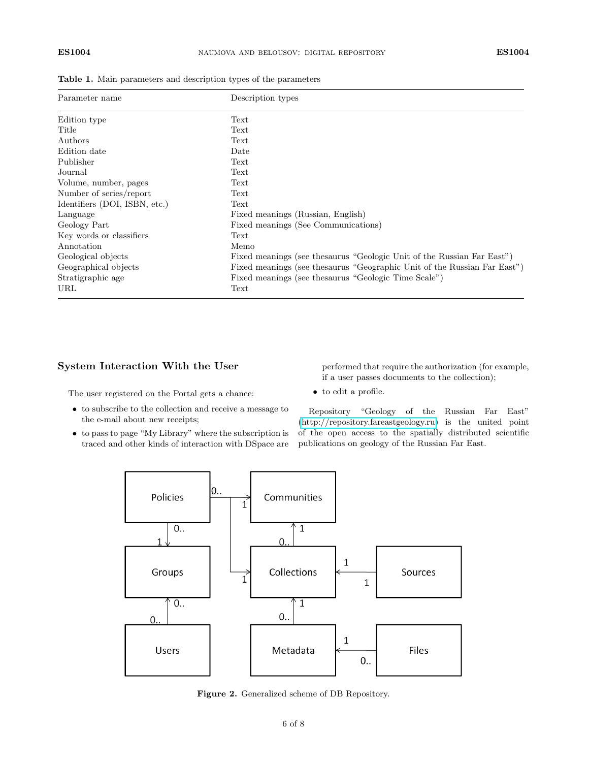| Parameter name                | Description types                                                         |
|-------------------------------|---------------------------------------------------------------------------|
| Edition type                  | Text                                                                      |
| Title                         | Text                                                                      |
| Authors                       | Text                                                                      |
| Edition date                  | Date                                                                      |
| Publisher                     | Text                                                                      |
| Journal                       | Text                                                                      |
| Volume, number, pages         | Text                                                                      |
| Number of series/report       | Text                                                                      |
| Identifiers (DOI, ISBN, etc.) | Text                                                                      |
| Language                      | Fixed meanings (Russian, English)                                         |
| Geology Part                  | Fixed meanings (See Communications)                                       |
| Key words or classifiers      | Text                                                                      |
| Annotation                    | Memo                                                                      |
| Geological objects            | Fixed meanings (see the saurus "Geologic Unit of the Russian Far East")   |
| Geographical objects          | Fixed meanings (see the saurus "Geographic Unit of the Russian Far East") |
| Stratigraphic age             | Fixed meanings (see the saurus "Geologic Time Scale")                     |
| URL                           | Text                                                                      |

<span id="page-5-0"></span>Table 1. Main parameters and description types of the parameters

# System Interaction With the User

The user registered on the Portal gets a chance:

- ∙ to subscribe to the collection and receive a message to the e-mail about new receipts;
- <span id="page-5-1"></span>∙ to pass to page "My Library" where the subscription is traced and other kinds of interaction with DSpace are

performed that require the authorization (for example, if a user passes documents to the collection);

∙ to edit a profile.

Repository "Geology of the Russian Far East" [\(http://repository.fareastgeology.ru\)](http://repository.fareastgeology.ru) is the united point of the open access to the spatially distributed scientific publications on geology of the Russian Far East.



Figure 2. Generalized scheme of DB Repository.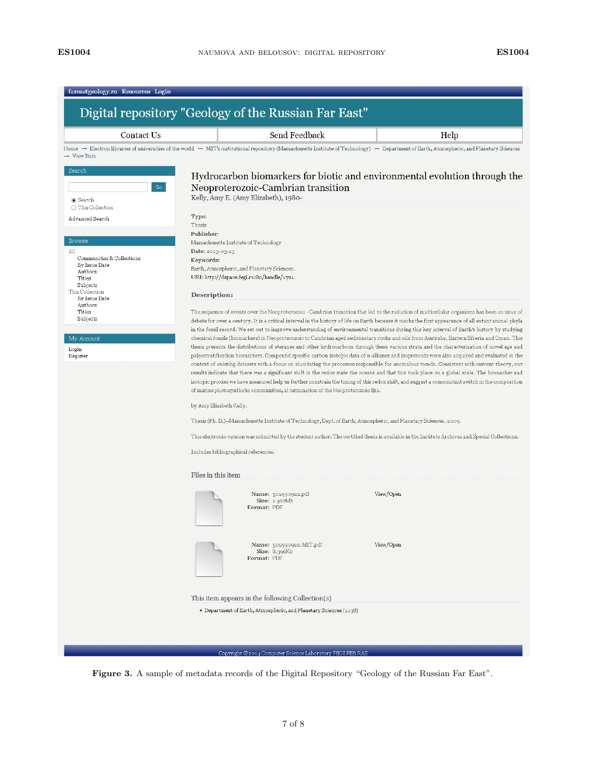<span id="page-6-0"></span>

| Contact Us                                  |                                                                                                                    | Send Feedback                                                                                                                                                                                                                                                                                |           | Help |  |  |  |
|---------------------------------------------|--------------------------------------------------------------------------------------------------------------------|----------------------------------------------------------------------------------------------------------------------------------------------------------------------------------------------------------------------------------------------------------------------------------------------|-----------|------|--|--|--|
| $\rightarrow$ View Item                     |                                                                                                                    | Home $\rightarrow$ Electron libraries of universities of the world $\rightarrow$ MIT's institutional repository (Massachusetts Institute of Technology) $\rightarrow$ Department of Earth, Atmospheric, and Planetary Sciences                                                               |           |      |  |  |  |
| Search                                      |                                                                                                                    |                                                                                                                                                                                                                                                                                              |           |      |  |  |  |
|                                             |                                                                                                                    | Hydrocarbon biomarkers for biotic and environmental evolution through the                                                                                                                                                                                                                    |           |      |  |  |  |
| Go                                          |                                                                                                                    | Neoproterozoic-Cambrian transition<br>Kelly, Amy E. (Amy Elizabeth), 1980-                                                                                                                                                                                                                   |           |      |  |  |  |
| Search<br>◯ This Collection                 |                                                                                                                    |                                                                                                                                                                                                                                                                                              |           |      |  |  |  |
| Advanced Search                             | Type:                                                                                                              |                                                                                                                                                                                                                                                                                              |           |      |  |  |  |
|                                             | Thesis                                                                                                             |                                                                                                                                                                                                                                                                                              |           |      |  |  |  |
| <b>Browse</b>                               | Publisher:                                                                                                         |                                                                                                                                                                                                                                                                                              |           |      |  |  |  |
| All                                         | Massachusetts Institute of Technology<br>Date: 2013-03-23                                                          |                                                                                                                                                                                                                                                                                              |           |      |  |  |  |
| Communities & Collections                   | Keywords:                                                                                                          |                                                                                                                                                                                                                                                                                              |           |      |  |  |  |
| By Issue Date<br>Authors                    | Earth, Atmospheric, and Planetary Sciences.                                                                        |                                                                                                                                                                                                                                                                                              |           |      |  |  |  |
| Titles<br>Subjects                          | URI: http://dspace.fegi.ru:8o/handle/1721                                                                          |                                                                                                                                                                                                                                                                                              |           |      |  |  |  |
| This Collection<br>By Issue Date<br>Authors | Description:                                                                                                       |                                                                                                                                                                                                                                                                                              |           |      |  |  |  |
| Titles                                      |                                                                                                                    | The sequence of events over the Neoproterozoic - Cambrian transition that led to the radiation of multicellular organisms has been an issue of                                                                                                                                               |           |      |  |  |  |
| Subjects                                    |                                                                                                                    | debate for over a century. It is a critical interval in the history of life on Earth because it marks the first appearance of all extant animal phyla                                                                                                                                        |           |      |  |  |  |
|                                             |                                                                                                                    | in the fossil record. We set out to improve understanding of environmental transitions during this key interval of Earth's history by studying<br>chemical fossils (biomarkers) in Neoproterozoic to Cambrian aged sedimentary rocks and oils from Australia, Eastern Siberia and Oman. This |           |      |  |  |  |
| My Account<br>Login                         |                                                                                                                    | thesis presents the distributions of steranes and other hydrocarbons through these various strata and the characterization of novel age and                                                                                                                                                  |           |      |  |  |  |
| Register                                    |                                                                                                                    | paleostratification biomarkers. Compound specific carbon isotopic data of n-alkanes and isoprenoids were also acquired and evaluated in the                                                                                                                                                  |           |      |  |  |  |
|                                             |                                                                                                                    | context of existing datasets with a focus on elucidating the processes responsible for anomalous trends. Consistent with current theory, our                                                                                                                                                 |           |      |  |  |  |
|                                             |                                                                                                                    | results indicate that there was a significant shift in the redox state the oceans and that this took place on a global scale. The biomarker and                                                                                                                                              |           |      |  |  |  |
|                                             |                                                                                                                    | isotopic proxies we have measured help us further constrain the timing of this redox shift, and suggest a concomitant switch in the composition<br>of marine photosynthetic communities, at termination of the Neoproterozoic Era.                                                           |           |      |  |  |  |
|                                             |                                                                                                                    |                                                                                                                                                                                                                                                                                              |           |      |  |  |  |
|                                             | by Amy Elizabeth Kelly.                                                                                            |                                                                                                                                                                                                                                                                                              |           |      |  |  |  |
|                                             | Thesis (Ph. D.)--Massachusetts Institute of Technology, Dept. of Earth, Atmospheric, and Planetary Sciences, 2009. |                                                                                                                                                                                                                                                                                              |           |      |  |  |  |
|                                             |                                                                                                                    | This electronic version was submitted by the student author. The certified thesis is available in the Institute Archives and Special Collections.                                                                                                                                            |           |      |  |  |  |
|                                             | Includes bibliographical references.                                                                               |                                                                                                                                                                                                                                                                                              |           |      |  |  |  |
|                                             | Files in this item                                                                                                 |                                                                                                                                                                                                                                                                                              |           |      |  |  |  |
|                                             |                                                                                                                    | Name: 502990922.pdf                                                                                                                                                                                                                                                                          | View/Open |      |  |  |  |
|                                             |                                                                                                                    | Size: 1.367Mb<br>Format: PDF                                                                                                                                                                                                                                                                 |           |      |  |  |  |
|                                             |                                                                                                                    |                                                                                                                                                                                                                                                                                              |           |      |  |  |  |
|                                             |                                                                                                                    |                                                                                                                                                                                                                                                                                              |           |      |  |  |  |
|                                             |                                                                                                                    | Name: 502990922-MIT.pdf                                                                                                                                                                                                                                                                      | View/Open |      |  |  |  |
|                                             |                                                                                                                    | Size: 8.396Kb<br>Format: PDF                                                                                                                                                                                                                                                                 |           |      |  |  |  |
|                                             |                                                                                                                    |                                                                                                                                                                                                                                                                                              |           |      |  |  |  |
|                                             |                                                                                                                    |                                                                                                                                                                                                                                                                                              |           |      |  |  |  |
|                                             |                                                                                                                    |                                                                                                                                                                                                                                                                                              |           |      |  |  |  |
|                                             |                                                                                                                    | This item appears in the following Collection(s)                                                                                                                                                                                                                                             |           |      |  |  |  |

Figure 3. A sample of metadata records of the Digital Repository "Geology of the Russian Far East".